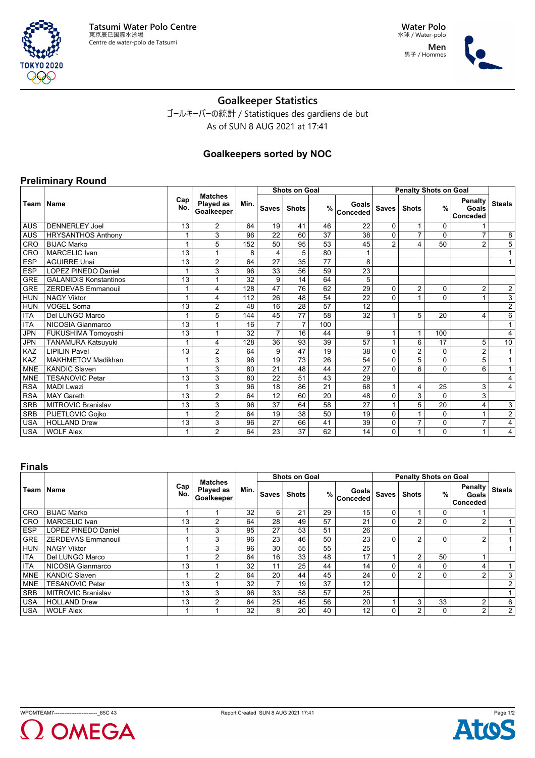

**Water Polo** 水球 / Water-polo **Men** 男子 / Hommes



# **Goalkeeper Statistics**

ゴールキーパーの統計 / Statistiques des gardiens de but As of SUN 8 AUG 2021 at 17:41

## **Goalkeepers sorted by NOC**

### **Preliminary Round**

**TOKYO 2020** 999

|             |                               |            |                                           |      |                 | <b>Shots on Goal</b> |     |                            |                |                | <b>Penalty Shots on Goal</b> |                                     |                         |
|-------------|-------------------------------|------------|-------------------------------------------|------|-----------------|----------------------|-----|----------------------------|----------------|----------------|------------------------------|-------------------------------------|-------------------------|
| Team   Name |                               | Cap<br>No. | <b>Matches</b><br>Played as<br>Goalkeeper | Min. | <b>Saves</b>    | <b>Shots</b>         |     | Goals<br>$%$ $\sim$ $\sim$ | <b>Saves</b>   | <b>Shots</b>   | $\frac{9}{6}$                | <b>Penalty</b><br>Goals<br>Conceded | <b>Steals</b>           |
| <b>AUS</b>  | <b>DENNERLEY Joel</b>         | 13         | $\overline{2}$                            | 64   | 19              | 41                   | 46  | 22                         | $\Omega$       | 1              | 0                            |                                     |                         |
| <b>AUS</b>  | <b>HRYSANTHOS Anthony</b>     |            | 3                                         | 96   | 22              | 60                   | 37  | 38                         | $\mathbf{0}$   | $\overline{7}$ | $\Omega$                     | $\overline{7}$                      | 8                       |
| CRO         | <b>BIJAC Marko</b>            |            | 5                                         | 152  | $\overline{50}$ | 95                   | 53  | 45                         | $\overline{2}$ | $\overline{4}$ | 50                           | $\overline{2}$                      | $\overline{5}$          |
| CRO         | <b>MARCELIC Ivan</b>          | 13         | 1                                         | 8    | 4               | 5                    | 80  |                            |                |                |                              |                                     | $\mathbf{1}$            |
| <b>ESP</b>  | <b>AGUIRRE Unai</b>           | 13         | $\overline{2}$                            | 64   | 27              | 35                   | 77  | 8                          |                |                |                              |                                     | 1                       |
| <b>ESP</b>  | <b>LOPEZ PINEDO Daniel</b>    |            | 3                                         | 96   | 33              | 56                   | 59  | 23                         |                |                |                              |                                     |                         |
| <b>GRE</b>  | <b>GALANIDIS Konstantinos</b> | 13         |                                           | 32   | 9               | 14                   | 64  | 5                          |                |                |                              |                                     |                         |
| <b>GRE</b>  | <b>ZERDEVAS Emmanouil</b>     |            | 4                                         | 128  | 47              | 76                   | 62  | 29                         | $\Omega$       | $\overline{2}$ | 0                            | $\overline{2}$                      | $\frac{2}{3}$           |
| <b>HUN</b>  | <b>NAGY Viktor</b>            |            | 4                                         | 112  | 26              | 48                   | 54  | 22                         | $\Omega$       | $\overline{1}$ | $\Omega$                     | 1                                   |                         |
| <b>HUN</b>  | <b>VOGEL Soma</b>             | 13         | $\overline{2}$                            | 48   | 16              | 28                   | 57  | 12                         |                |                |                              |                                     | $\overline{\mathbf{c}}$ |
| <b>ITA</b>  | Del LUNGO Marco               |            | 5                                         | 144  | 45              | 77                   | 58  | 32                         | $\overline{1}$ | 5              | 20                           | 4                                   | 6                       |
| <b>ITA</b>  | NICOSIA Gianmarco             | 13         | 1                                         | 16   | $\overline{7}$  | $\overline{7}$       | 100 |                            |                |                |                              |                                     | $\mathbf{1}$            |
| <b>JPN</b>  | FUKUSHIMA Tomoyoshi           | 13         | 1                                         | 32   | $\overline{7}$  | 16                   | 44  | 9                          |                | 1              | 100                          |                                     | 4                       |
| <b>JPN</b>  | TANAMURA Katsuyuki            |            | 4                                         | 128  | 36              | 93                   | 39  | 57                         | $\mathbf{1}$   | 6              | 17                           | 5                                   | 10                      |
| KAZ         | <b>LIPILIN Pavel</b>          | 13         | $\overline{2}$                            | 64   | 9               | 47                   | 19  | 38                         | $\mathbf{0}$   | $\overline{2}$ | $\Omega$                     | $\overline{c}$                      | $\mathbf{1}$            |
| KAZ         | <b>MAKHMETOV Madikhan</b>     |            | 3                                         | 96   | 19              | 73                   | 26  | 54                         | $\mathbf{0}$   | 5              | $\Omega$                     | 5                                   | $\mathbf{1}$            |
| <b>MNE</b>  | <b>KANDIC Slaven</b>          |            | 3                                         | 80   | 21              | 48                   | 44  | 27                         | $\Omega$       | 6              | $\Omega$                     | 6                                   | $\overline{1}$          |
| <b>MNE</b>  | <b>TESANOVIC Petar</b>        | 13         | 3                                         | 80   | 22              | 51                   | 43  | 29                         |                |                |                              |                                     | 4                       |
| <b>RSA</b>  | <b>MADI Lwazi</b>             |            | 3                                         | 96   | 18              | 86                   | 21  | 68                         | $\mathbf{1}$   | 4              | 25                           | 3                                   | 4                       |
| <b>RSA</b>  | <b>MAY Gareth</b>             | 13         | $\overline{2}$                            | 64   | 12              | 60                   | 20  | 48                         | $\Omega$       | $\overline{3}$ | $\Omega$                     | 3                                   |                         |
| <b>SRB</b>  | <b>MITROVIC Branislav</b>     | 13         | 3                                         | 96   | 37              | 64                   | 58  | 27                         | $\overline{1}$ | 5              | 20                           | 4                                   | 3                       |
| <b>SRB</b>  | PIJETLOVIC Gojko              |            | $\overline{2}$                            | 64   | 19              | 38                   | 50  | 19                         | $\Omega$       | 1              | 0                            | 1                                   | $\overline{\mathbf{c}}$ |
| <b>USA</b>  | <b>HOLLAND Drew</b>           | 13         | 3                                         | 96   | 27              | 66                   | 41  | 39                         | 0              | $\overline{7}$ | 0                            | $\overline{7}$                      | 4                       |
| <b>USA</b>  | <b>WOLF Alex</b>              | 1          | $\overline{2}$                            | 64   | 23              | 37                   | 62  | 14                         | $\Omega$       | $\overline{1}$ | $\Omega$                     | $\mathbf{1}$                        | 4 <sub>1</sub>          |

#### **Finals**

|            |                            |            |                                           |      |              | <b>Shots on Goal</b> |    |                                       | <b>Penalty Shots on Goal</b> |                |    |                                     |                |
|------------|----------------------------|------------|-------------------------------------------|------|--------------|----------------------|----|---------------------------------------|------------------------------|----------------|----|-------------------------------------|----------------|
|            | Team   Name                | Cap<br>No. | <b>Matches</b><br>Played as<br>Goalkeeper | Min. | <b>Saves</b> | <b>Shots</b>         |    | Goals  <br>$%$ Conceded $\frac{1}{2}$ | <b>Saves</b>                 | <b>Shots</b>   | %  | Penalty<br>Goals<br><b>Conceded</b> | <b>Steals</b>  |
| <b>CRO</b> | <b>BIJAC Marko</b>         |            |                                           | 32   | 6            | 21                   | 29 | 15                                    | 0                            |                | 0  |                                     |                |
| <b>CRO</b> | <b>MARCELIC</b> Ivan       | 13         | $\overline{2}$                            | 64   | 28           | 49                   | 57 | 21                                    | $\Omega$                     | $\overline{2}$ | 0  | $\overline{2}$                      |                |
| <b>ESP</b> | <b>LOPEZ PINEDO Daniel</b> |            | 3                                         | 95   | 27           | 53                   | 51 | 26                                    |                              |                |    |                                     |                |
| <b>GRE</b> | <b>ZERDEVAS Emmanouil</b>  |            | 3                                         | 96   | 23           | 46                   | 50 | 23                                    | $\Omega$                     | 2              | 0  | $\overline{2}$                      |                |
| <b>HUN</b> | <b>NAGY Viktor</b>         |            | 3                                         | 96   | 30           | 55                   | 55 | 25                                    |                              |                |    |                                     |                |
| <b>ITA</b> | Del LUNGO Marco            |            | 2                                         | 64   | 16           | 33                   | 48 | 17                                    |                              | $\overline{2}$ | 50 |                                     |                |
| <b>ITA</b> | NICOSIA Gianmarco          | 13         |                                           | 32   | 11           | 25                   | 44 | 14                                    | $\Omega$                     | 4              | 0  | 4                                   |                |
| <b>MNE</b> | <b>KANDIC Slaven</b>       |            | $\overline{2}$                            | 64   | 20           | 44                   | 45 | 24                                    | $\Omega$                     | $\overline{2}$ | 0  | $\overline{2}$                      | 3 <sub>1</sub> |
| <b>MNE</b> | <b>TESANOVIC Petar</b>     | 13         |                                           | 32   |              | 19                   | 37 | 12                                    |                              |                |    |                                     | 2 <sub>1</sub> |
| <b>SRB</b> | <b>MITROVIC Branislav</b>  | 13         | 3                                         | 96   | 33           | 58                   | 57 | 25                                    |                              |                |    |                                     |                |
| <b>USA</b> | <b>HOLLAND Drew</b>        | 13         | $\overline{2}$                            | 64   | 25           | 45                   | 56 | 20                                    |                              | 3              | 33 | 2                                   | 6              |
| <b>USA</b> | <b>WOLF Alex</b>           |            |                                           | 32   | 8            | 20                   | 40 | 12                                    | $\Omega$                     | $\overline{2}$ | 0  | $\overline{2}$                      | 2              |